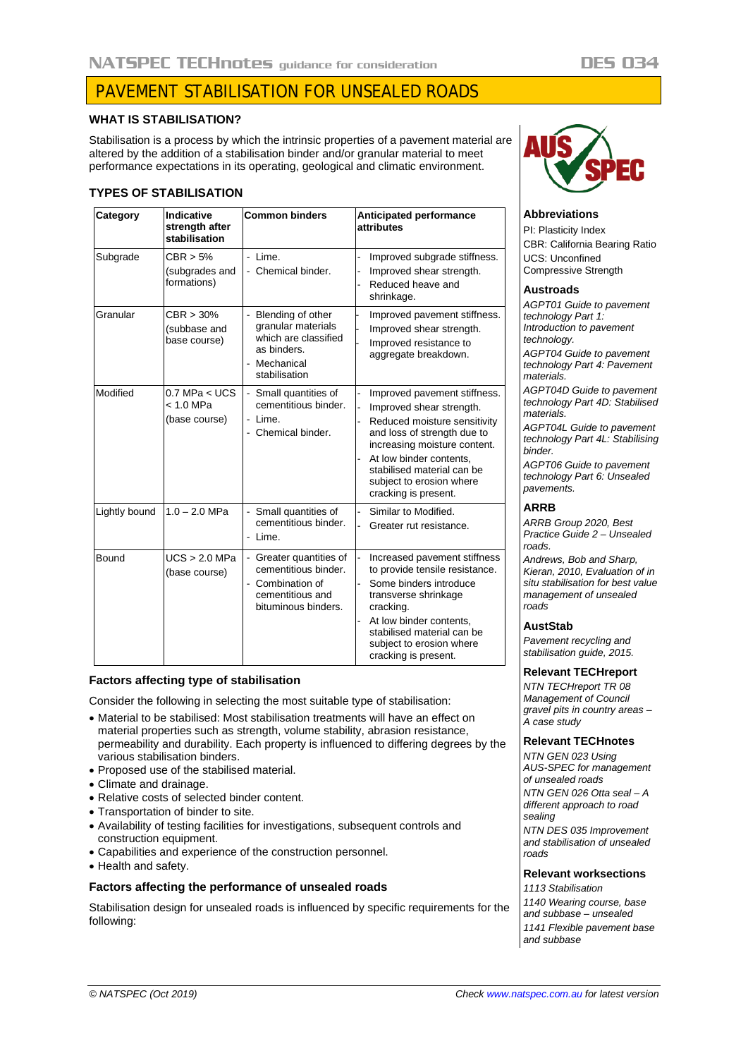# NATSPEC TECHnotes auidance for consideration DES 034

# PAVEMENT STABILISATION FOR UNSEALED ROADS

# **WHAT IS STABILISATION?**

Stabilisation is a process by which the intrinsic properties of a pavement material are altered by the addition of a stabilisation binder and/or granular material to meet performance expectations in its operating, geological and climatic environment.

# **TYPES OF STABILISATION**

| Category      | Indicative<br>strength after<br>stabilisation   | <b>Common binders</b>                                                                                                                 | <b>Anticipated performance</b><br>attributes                                                                                                                                                                                                                         |
|---------------|-------------------------------------------------|---------------------------------------------------------------------------------------------------------------------------------------|----------------------------------------------------------------------------------------------------------------------------------------------------------------------------------------------------------------------------------------------------------------------|
| Subgrade      | CBR > 5%<br>(subgrades and<br>formations)       | Lime.<br>ä,<br>- Chemical binder.                                                                                                     | Improved subgrade stiffness.<br>Improved shear strength.<br>Reduced heave and<br>shrinkage.                                                                                                                                                                          |
| Granular      | $CBR > 30\%$<br>(subbase and<br>base course)    | Blending of other<br>÷,<br>granular materials<br>which are classified<br>as binders.<br>Mechanical<br>$\overline{a}$<br>stabilisation | Improved pavement stiffness.<br>Improved shear strength.<br>Improved resistance to<br>aggregate breakdown.                                                                                                                                                           |
| Modified      | $0.7$ MPa < UCS<br>$< 1.0$ MPa<br>(base course) | Small quantities of<br>$\blacksquare$<br>cementitious binder.<br>- Lime.<br>Chemical binder.                                          | Improved pavement stiffness.<br>Improved shear strength.<br>Reduced moisture sensitivity<br>and loss of strength due to<br>increasing moisture content.<br>At low binder contents.<br>stabilised material can be<br>subject to erosion where<br>cracking is present. |
| Lightly bound | $1.0 - 2.0$ MPa                                 | - Small quantities of<br>cementitious binder.<br>Lime.                                                                                | Similar to Modified.<br>Greater rut resistance.                                                                                                                                                                                                                      |
| Bound         | UCS > 2.0 MPa<br>(base course)                  | - Greater quantities of<br>cementitious binder.<br>- Combination of<br>cementitious and<br>bituminous binders.                        | Increased pavement stiffness<br>to provide tensile resistance.<br>Some binders introduce<br>transverse shrinkage<br>cracking.<br>At low binder contents,<br>stabilised material can be<br>subject to erosion where<br>cracking is present.                           |

## **Factors affecting type of stabilisation**

Consider the following in selecting the most suitable type of stabilisation:

- Material to be stabilised: Most stabilisation treatments will have an effect on material properties such as strength, volume stability, abrasion resistance, permeability and durability. Each property is influenced to differing degrees by the various stabilisation binders.
- Proposed use of the stabilised material.
- Climate and drainage.
- Relative costs of selected binder content.
- Transportation of binder to site.
- Availability of testing facilities for investigations, subsequent controls and construction equipment.
- Capabilities and experience of the construction personnel.
- Health and safety.

## **Factors affecting the performance of unsealed roads**

Stabilisation design for unsealed roads is influenced by specific requirements for the following:



## **Abbreviations**

PI: Plasticity Index CBR: California Bearing Ratio UCS: Unconfined Compressive Strength

#### **Austroads**

*AGPT01 Guide to pavement technology Part 1: Introduction to pavement technology. AGPT04 Guide to pavement technology Part 4: Pavement materials. AGPT04D Guide to pavement technology Part 4D: Stabilised materials. AGPT04L Guide to pavement technology Part 4L: Stabilising binder. AGPT06 Guide to pavement technology Part 6: Unsealed pavements.*

#### **ARRB**

*ARRB Group 2020, Best Practice Guide 2 – Unsealed roads.*

*Andrews, Bob and Sharp, Kieran, 2010, Evaluation of in situ stabilisation for best value management of unsealed roads*

#### **AustStab**

*Pavement recycling and stabilisation guide, 2015.*

#### **Relevant TECHreport**

*NTN TECHreport TR 08 Management of Council gravel pits in country areas – A case study*

### **Relevant TECHnotes**

*NTN GEN 023 Using AUS-SPEC for management of unsealed roads NTN GEN 026 Otta seal – A different approach to road sealing NTN DES 035 Improvement and stabilisation of unsealed roads*

## **Relevant worksections**

*1113 Stabilisation 1140 Wearing course, base and subbase – unsealed 1141 Flexible pavement base and subbase*